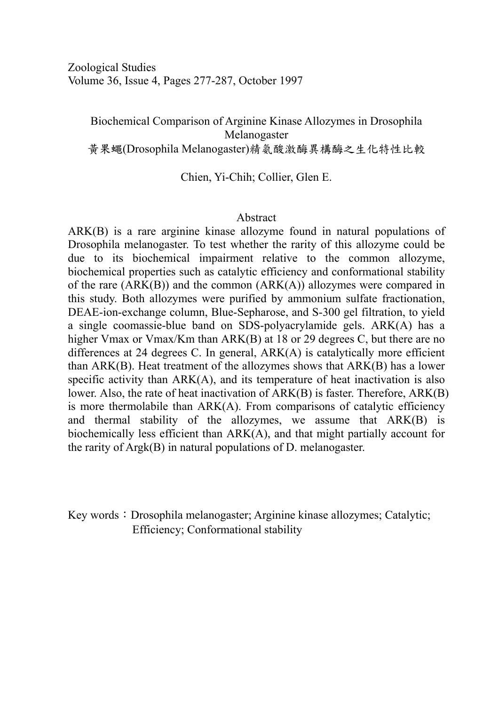## Biochemical Comparison of Arginine Kinase Allozymes in Drosophila Melanogaster 黃果蠅(Drosophila Melanogaster)精氨酸激酶異構酶之生化特性比較

Chien, Yi-Chih; Collier, Glen E.

## Abstract

ARK(B) is a rare arginine kinase allozyme found in natural populations of Drosophila melanogaster. To test whether the rarity of this allozyme could be due to its biochemical impairment relative to the common allozyme, biochemical properties such as catalytic efficiency and conformational stability of the rare  $(ARK(B))$  and the common  $(ARK(A))$  allozymes were compared in this study. Both allozymes were purified by ammonium sulfate fractionation, DEAE-ion-exchange column, Blue-Sepharose, and S-300 gel filtration, to yield a single coomassie-blue band on SDS-polyacrylamide gels. ARK(A) has a higher Vmax or Vmax/Km than ARK(B) at 18 or 29 degrees C, but there are no differences at 24 degrees C. In general, ARK(A) is catalytically more efficient than ARK(B). Heat treatment of the allozymes shows that ARK(B) has a lower specific activity than  $ARK(A)$ , and its temperature of heat inactivation is also lower. Also, the rate of heat inactivation of ARK(B) is faster. Therefore, ARK(B) is more thermolabile than ARK(A). From comparisons of catalytic efficiency and thermal stability of the allozymes, we assume that ARK(B) is biochemically less efficient than ARK(A), and that might partially account for the rarity of Argk(B) in natural populations of D. melanogaster.

Key words: Drosophila melanogaster; Arginine kinase allozymes; Catalytic; Efficiency; Conformational stability